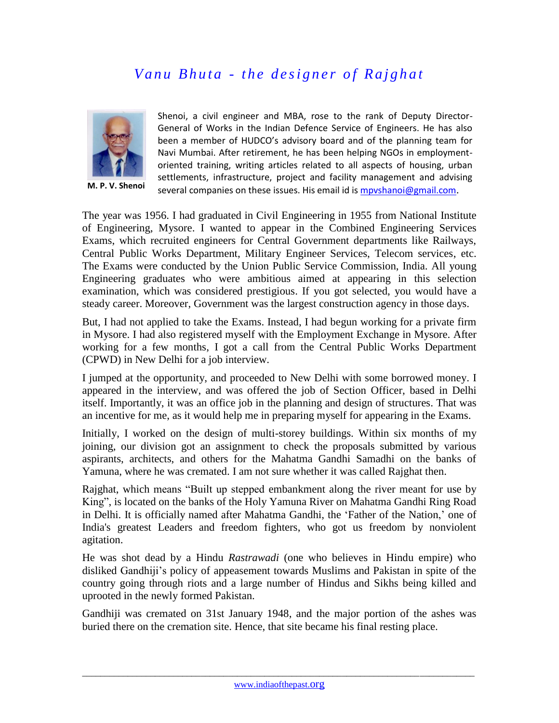## *Vanu Bhuta - the designer of Rajghat*



**M. P. V. Shenoi**

Shenoi, a civil engineer and MBA, rose to the rank of Deputy Director-General of Works in the Indian Defence Service of Engineers. He has also been a member of HUDCO's advisory board and of the planning team for Navi Mumbai. After retirement, he has been helping NGOs in employmentoriented training, writing articles related to all aspects of housing, urban settlements, infrastructure, project and facility management and advising several companies on these issues. His email id is mpyshanoi@gmail.com.

The year was 1956. I had graduated in Civil Engineering in 1955 from National Institute of Engineering, Mysore. I wanted to appear in the Combined Engineering Services Exams, which recruited engineers for Central Government departments like Railways, Central Public Works Department, Military Engineer Services, Telecom services, etc. The Exams were conducted by the Union Public Service Commission, India. All young Engineering graduates who were ambitious aimed at appearing in this selection examination, which was considered prestigious. If you got selected, you would have a steady career. Moreover, Government was the largest construction agency in those days.

But, I had not applied to take the Exams. Instead, I had begun working for a private firm in Mysore. I had also registered myself with the Employment Exchange in Mysore. After working for a few months, I got a call from the Central Public Works Department (CPWD) in New Delhi for a job interview.

I jumped at the opportunity, and proceeded to New Delhi with some borrowed money. I appeared in the interview, and was offered the job of Section Officer, based in Delhi itself. Importantly, it was an office job in the planning and design of structures. That was an incentive for me, as it would help me in preparing myself for appearing in the Exams.

Initially, I worked on the design of multi-storey buildings. Within six months of my joining, our division got an assignment to check the proposals submitted by various aspirants, architects, and others for the Mahatma Gandhi Samadhi on the banks of Yamuna, where he was cremated. I am not sure whether it was called Rajghat then.

Rajghat, which means "Built up stepped embankment along the river meant for use by King", is located on the banks of the Holy Yamuna River on Mahatma Gandhi Ring Road in Delhi. It is officially named after Mahatma Gandhi, the 'Father of the Nation,' one of India's greatest Leaders and freedom fighters, who got us freedom by nonviolent agitation.

He was shot dead by a Hindu *Rastrawadi* (one who believes in Hindu empire) who disliked Gandhiji's policy of appeasement towards Muslims and Pakistan in spite of the country going through riots and a large number of Hindus and Sikhs being killed and uprooted in the newly formed Pakistan.

Gandhiji was cremated on 31st January 1948, and the major portion of the ashes was buried there on the cremation site. Hence, that site became his final resting place.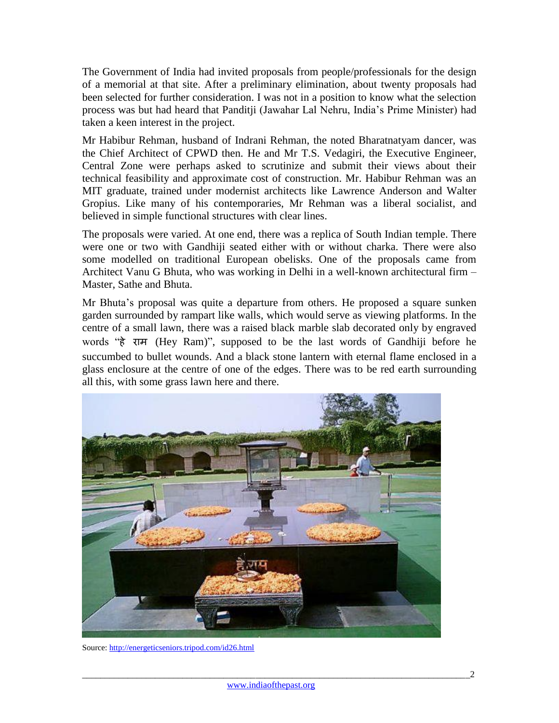The Government of India had invited proposals from people/professionals for the design of a memorial at that site. After a preliminary elimination, about twenty proposals had been selected for further consideration. I was not in a position to know what the selection process was but had heard that Panditji (Jawahar Lal Nehru, India's Prime Minister) had taken a keen interest in the project.

Mr Habibur Rehman, husband of Indrani Rehman, the noted Bharatnatyam dancer, was the Chief Architect of CPWD then. He and Mr T.S. Vedagiri, the Executive Engineer, Central Zone were perhaps asked to scrutinize and submit their views about their technical feasibility and approximate cost of construction. Mr. Habibur Rehman was an MIT graduate, trained under modernist architects like Lawrence Anderson and Walter Gropius. Like many of his contemporaries, Mr Rehman was a liberal socialist, and believed in simple functional structures with clear lines.

The proposals were varied. At one end, there was a replica of South Indian temple. There were one or two with Gandhiji seated either with or without charka. There were also some modelled on traditional European obelisks. One of the proposals came from Architect Vanu G Bhuta, who was working in Delhi in a well-known architectural firm – Master, Sathe and Bhuta.

Mr Bhuta's proposal was quite a departure from others. He proposed a square sunken garden surrounded by rampart like walls, which would serve as viewing platforms. In the centre of a small lawn, there was a raised black marble slab decorated only by engraved words "हे राम (Hey Ram)", supposed to be the last words of Gandhiji before he succumbed to bullet wounds. And a black stone lantern with eternal flame enclosed in a glass enclosure at the centre of one of the edges. There was to be red earth surrounding all this, with some grass lawn here and there.



Source: <http://energeticseniors.tripod.com/id26.html>